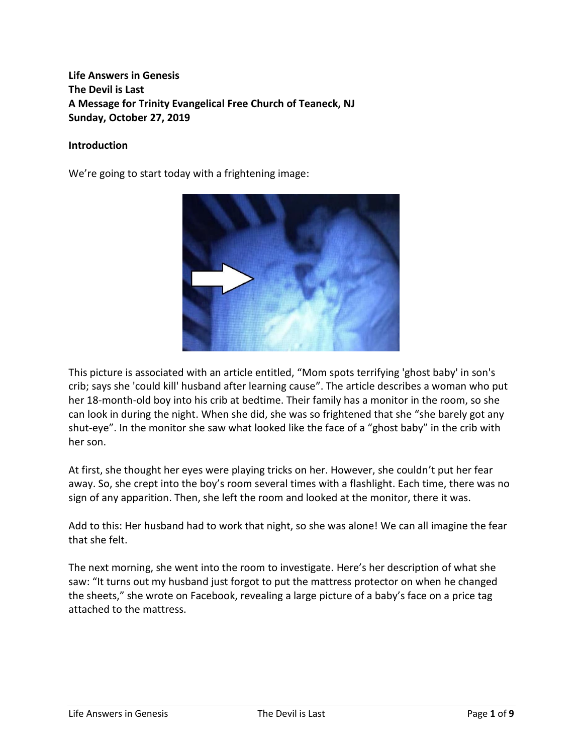# **Life Answers in Genesis The Devil is Last A Message for Trinity Evangelical Free Church of Teaneck, NJ Sunday, October 27, 2019**

#### **Introduction**

We're going to start today with a frightening image:



This picture is associated with an article entitled, "Mom spots terrifying 'ghost baby' in son's crib; says she 'could kill' husband after learning cause". The article describes a woman who put her 18-month-old boy into his crib at bedtime. Their family has a monitor in the room, so she can look in during the night. When she did, she was so frightened that she "she barely got any shut-eye". In the monitor she saw what looked like the face of a "ghost baby" in the crib with her son.

At first, she thought her eyes were playing tricks on her. However, she couldn't put her fear away. So, she crept into the boy's room several times with a flashlight. Each time, there was no sign of any apparition. Then, she left the room and looked at the monitor, there it was.

Add to this: Her husband had to work that night, so she was alone! We can all imagine the fear that she felt.

The next morning, she went into the room to investigate. Here's her description of what she saw: "It turns out my husband just forgot to put the mattress protector on when he changed the sheets," she wrote on Facebook, revealing a large picture of a baby's face on a price tag attached to the mattress.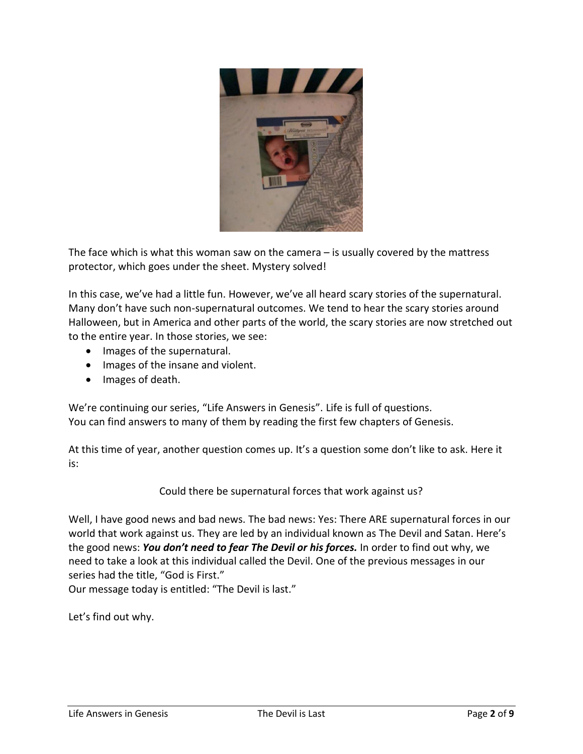

The face which is what this woman saw on the camera – is usually covered by the mattress protector, which goes under the sheet. Mystery solved!

In this case, we've had a little fun. However, we've all heard scary stories of the supernatural. Many don't have such non-supernatural outcomes. We tend to hear the scary stories around Halloween, but in America and other parts of the world, the scary stories are now stretched out to the entire year. In those stories, we see:

- Images of the supernatural.
- Images of the insane and violent.
- Images of death.

We're continuing our series, "Life Answers in Genesis". Life is full of questions. You can find answers to many of them by reading the first few chapters of Genesis.

At this time of year, another question comes up. It's a question some don't like to ask. Here it is:

Could there be supernatural forces that work against us?

Well, I have good news and bad news. The bad news: Yes: There ARE supernatural forces in our world that work against us. They are led by an individual known as The Devil and Satan. Here's the good news: *You don't need to fear The Devil or his forces.* In order to find out why, we need to take a look at this individual called the Devil. One of the previous messages in our series had the title, "God is First."

Our message today is entitled: "The Devil is last."

Let's find out why.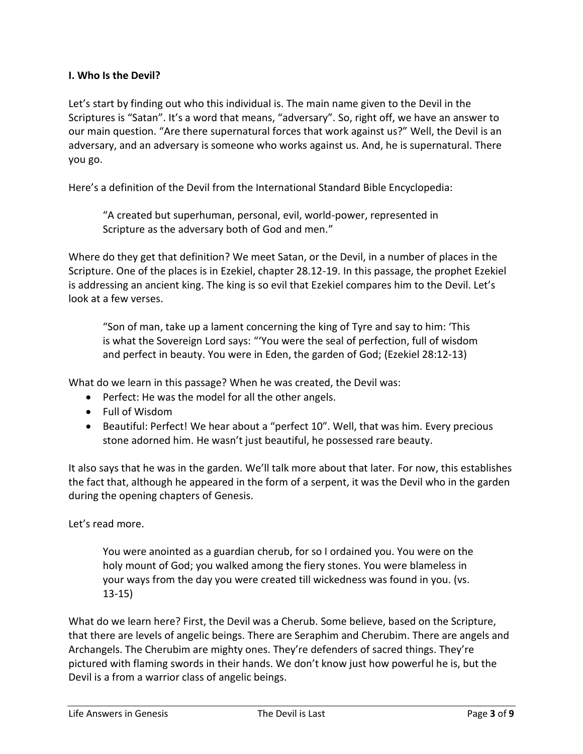## **I. Who Is the Devil?**

Let's start by finding out who this individual is. The main name given to the Devil in the Scriptures is "Satan". It's a word that means, "adversary". So, right off, we have an answer to our main question. "Are there supernatural forces that work against us?" Well, the Devil is an adversary, and an adversary is someone who works against us. And, he is supernatural. There you go.

Here's a definition of the Devil from the International Standard Bible Encyclopedia:

"A created but superhuman, personal, evil, world-power, represented in Scripture as the adversary both of God and men."

Where do they get that definition? We meet Satan, or the Devil, in a number of places in the Scripture. One of the places is in Ezekiel, chapter 28.12-19. In this passage, the prophet Ezekiel is addressing an ancient king. The king is so evil that Ezekiel compares him to the Devil. Let's look at a few verses.

"Son of man, take up a lament concerning the king of Tyre and say to him: 'This is what the Sovereign Lord says: "'You were the seal of perfection, full of wisdom and perfect in beauty. You were in Eden, the garden of God; (Ezekiel 28:12-13)

What do we learn in this passage? When he was created, the Devil was:

- Perfect: He was the model for all the other angels.
- Full of Wisdom
- Beautiful: Perfect! We hear about a "perfect 10". Well, that was him. Every precious stone adorned him. He wasn't just beautiful, he possessed rare beauty.

It also says that he was in the garden. We'll talk more about that later. For now, this establishes the fact that, although he appeared in the form of a serpent, it was the Devil who in the garden during the opening chapters of Genesis.

Let's read more.

You were anointed as a guardian cherub, for so I ordained you. You were on the holy mount of God; you walked among the fiery stones. You were blameless in your ways from the day you were created till wickedness was found in you. (vs. 13-15)

What do we learn here? First, the Devil was a Cherub. Some believe, based on the Scripture, that there are levels of angelic beings. There are Seraphim and Cherubim. There are angels and Archangels. The Cherubim are mighty ones. They're defenders of sacred things. They're pictured with flaming swords in their hands. We don't know just how powerful he is, but the Devil is a from a warrior class of angelic beings.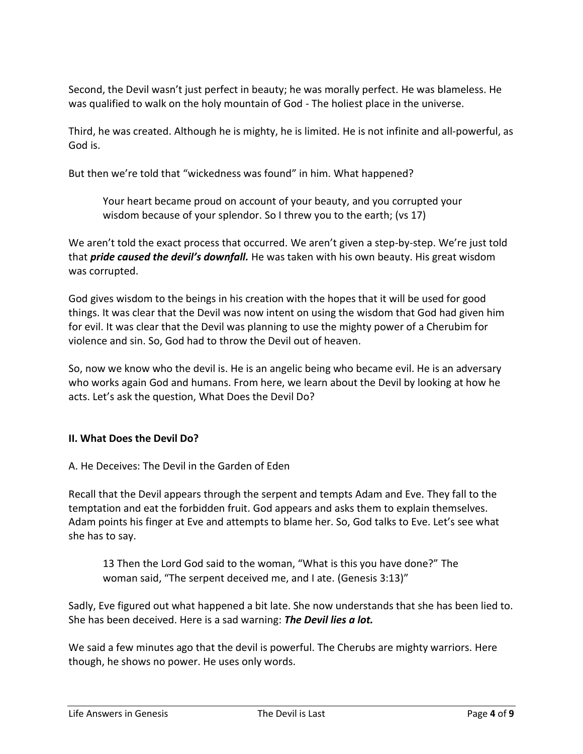Second, the Devil wasn't just perfect in beauty; he was morally perfect. He was blameless. He was qualified to walk on the holy mountain of God - The holiest place in the universe.

Third, he was created. Although he is mighty, he is limited. He is not infinite and all-powerful, as God is.

But then we're told that "wickedness was found" in him. What happened?

Your heart became proud on account of your beauty, and you corrupted your wisdom because of your splendor. So I threw you to the earth; (vs 17)

We aren't told the exact process that occurred. We aren't given a step-by-step. We're just told that *pride caused the devil's downfall.* He was taken with his own beauty. His great wisdom was corrupted.

God gives wisdom to the beings in his creation with the hopes that it will be used for good things. It was clear that the Devil was now intent on using the wisdom that God had given him for evil. It was clear that the Devil was planning to use the mighty power of a Cherubim for violence and sin. So, God had to throw the Devil out of heaven.

So, now we know who the devil is. He is an angelic being who became evil. He is an adversary who works again God and humans. From here, we learn about the Devil by looking at how he acts. Let's ask the question, What Does the Devil Do?

### **II. What Does the Devil Do?**

A. He Deceives: The Devil in the Garden of Eden

Recall that the Devil appears through the serpent and tempts Adam and Eve. They fall to the temptation and eat the forbidden fruit. God appears and asks them to explain themselves. Adam points his finger at Eve and attempts to blame her. So, God talks to Eve. Let's see what she has to say.

13 Then the Lord God said to the woman, "What is this you have done?" The woman said, "The serpent deceived me, and I ate. (Genesis 3:13)"

Sadly, Eve figured out what happened a bit late. She now understands that she has been lied to. She has been deceived. Here is a sad warning: *The Devil lies a lot.*

We said a few minutes ago that the devil is powerful. The Cherubs are mighty warriors. Here though, he shows no power. He uses only words.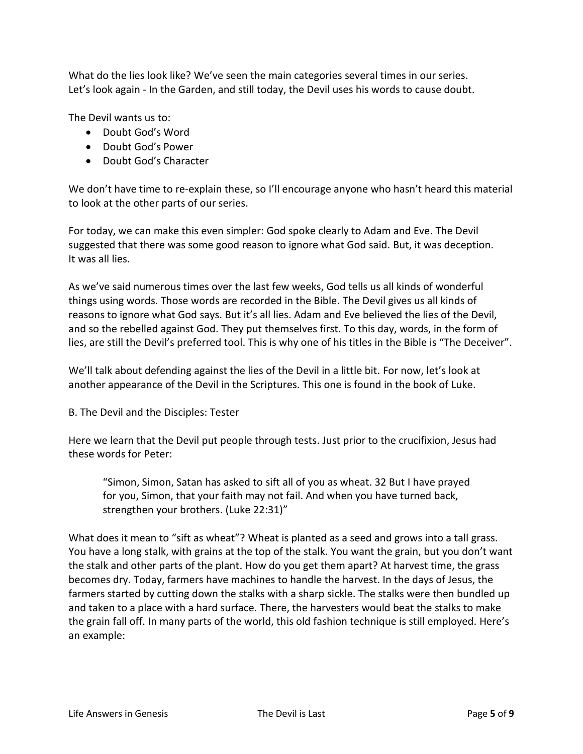What do the lies look like? We've seen the main categories several times in our series. Let's look again - In the Garden, and still today, the Devil uses his words to cause doubt.

The Devil wants us to:

- Doubt God's Word
- Doubt God's Power
- Doubt God's Character

We don't have time to re-explain these, so I'll encourage anyone who hasn't heard this material to look at the other parts of our series.

For today, we can make this even simpler: God spoke clearly to Adam and Eve. The Devil suggested that there was some good reason to ignore what God said. But, it was deception. It was all lies.

As we've said numerous times over the last few weeks, God tells us all kinds of wonderful things using words. Those words are recorded in the Bible. The Devil gives us all kinds of reasons to ignore what God says. But it's all lies. Adam and Eve believed the lies of the Devil, and so the rebelled against God. They put themselves first. To this day, words, in the form of lies, are still the Devil's preferred tool. This is why one of his titles in the Bible is "The Deceiver".

We'll talk about defending against the lies of the Devil in a little bit. For now, let's look at another appearance of the Devil in the Scriptures. This one is found in the book of Luke.

### B. The Devil and the Disciples: Tester

Here we learn that the Devil put people through tests. Just prior to the crucifixion, Jesus had these words for Peter:

"Simon, Simon, Satan has asked to sift all of you as wheat. 32 But I have prayed for you, Simon, that your faith may not fail. And when you have turned back, strengthen your brothers. (Luke 22:31)"

What does it mean to "sift as wheat"? Wheat is planted as a seed and grows into a tall grass. You have a long stalk, with grains at the top of the stalk. You want the grain, but you don't want the stalk and other parts of the plant. How do you get them apart? At harvest time, the grass becomes dry. Today, farmers have machines to handle the harvest. In the days of Jesus, the farmers started by cutting down the stalks with a sharp sickle. The stalks were then bundled up and taken to a place with a hard surface. There, the harvesters would beat the stalks to make the grain fall off. In many parts of the world, this old fashion technique is still employed. Here's an example: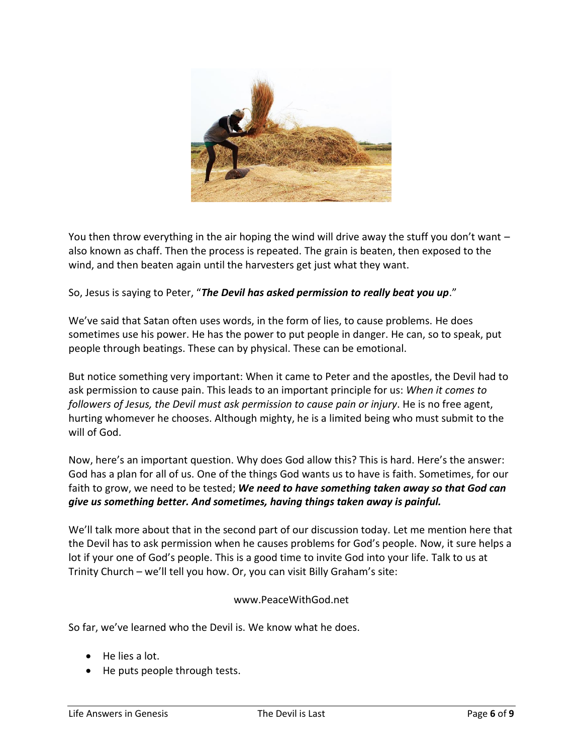

You then throw everything in the air hoping the wind will drive away the stuff you don't want – also known as chaff. Then the process is repeated. The grain is beaten, then exposed to the wind, and then beaten again until the harvesters get just what they want.

So, Jesus is saying to Peter, "*The Devil has asked permission to really beat you up*."

We've said that Satan often uses words, in the form of lies, to cause problems. He does sometimes use his power. He has the power to put people in danger. He can, so to speak, put people through beatings. These can by physical. These can be emotional.

But notice something very important: When it came to Peter and the apostles, the Devil had to ask permission to cause pain. This leads to an important principle for us: *When it comes to followers of Jesus, the Devil must ask permission to cause pain or injury*. He is no free agent, hurting whomever he chooses. Although mighty, he is a limited being who must submit to the will of God.

Now, here's an important question. Why does God allow this? This is hard. Here's the answer: God has a plan for all of us. One of the things God wants us to have is faith. Sometimes, for our faith to grow, we need to be tested; *We need to have something taken away so that God can give us something better. And sometimes, having things taken away is painful.*

We'll talk more about that in the second part of our discussion today. Let me mention here that the Devil has to ask permission when he causes problems for God's people. Now, it sure helps a lot if your one of God's people. This is a good time to invite God into your life. Talk to us at Trinity Church – we'll tell you how. Or, you can visit Billy Graham's site:

### www.PeaceWithGod.net

So far, we've learned who the Devil is. We know what he does.

- He lies a lot.
- He puts people through tests.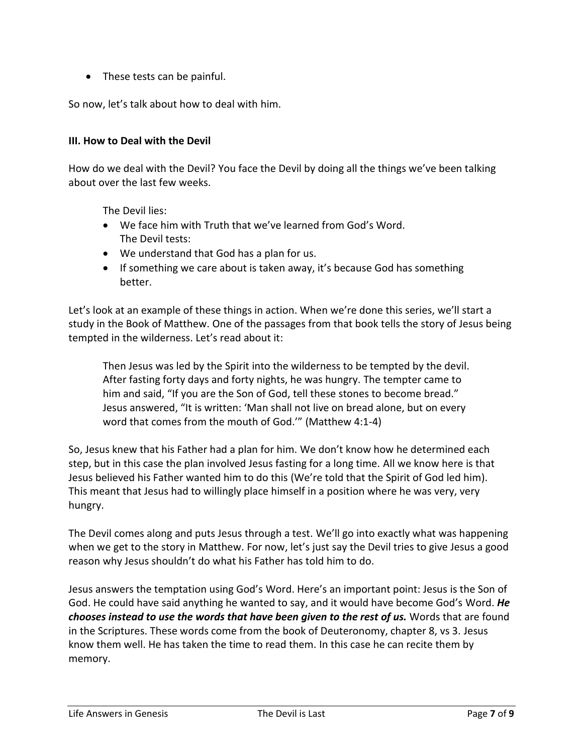• These tests can be painful.

So now, let's talk about how to deal with him.

#### **III. How to Deal with the Devil**

How do we deal with the Devil? You face the Devil by doing all the things we've been talking about over the last few weeks.

The Devil lies:

- We face him with Truth that we've learned from God's Word. The Devil tests:
- We understand that God has a plan for us.
- If something we care about is taken away, it's because God has something better.

Let's look at an example of these things in action. When we're done this series, we'll start a study in the Book of Matthew. One of the passages from that book tells the story of Jesus being tempted in the wilderness. Let's read about it:

Then Jesus was led by the Spirit into the wilderness to be tempted by the devil. After fasting forty days and forty nights, he was hungry. The tempter came to him and said, "If you are the Son of God, tell these stones to become bread." Jesus answered, "It is written: 'Man shall not live on bread alone, but on every word that comes from the mouth of God.'" (Matthew 4:1-4)

So, Jesus knew that his Father had a plan for him. We don't know how he determined each step, but in this case the plan involved Jesus fasting for a long time. All we know here is that Jesus believed his Father wanted him to do this (We're told that the Spirit of God led him). This meant that Jesus had to willingly place himself in a position where he was very, very hungry.

The Devil comes along and puts Jesus through a test. We'll go into exactly what was happening when we get to the story in Matthew. For now, let's just say the Devil tries to give Jesus a good reason why Jesus shouldn't do what his Father has told him to do.

Jesus answers the temptation using God's Word. Here's an important point: Jesus is the Son of God. He could have said anything he wanted to say, and it would have become God's Word. *He chooses instead to use the words that have been given to the rest of us.* Words that are found in the Scriptures. These words come from the book of Deuteronomy, chapter 8, vs 3. Jesus know them well. He has taken the time to read them. In this case he can recite them by memory.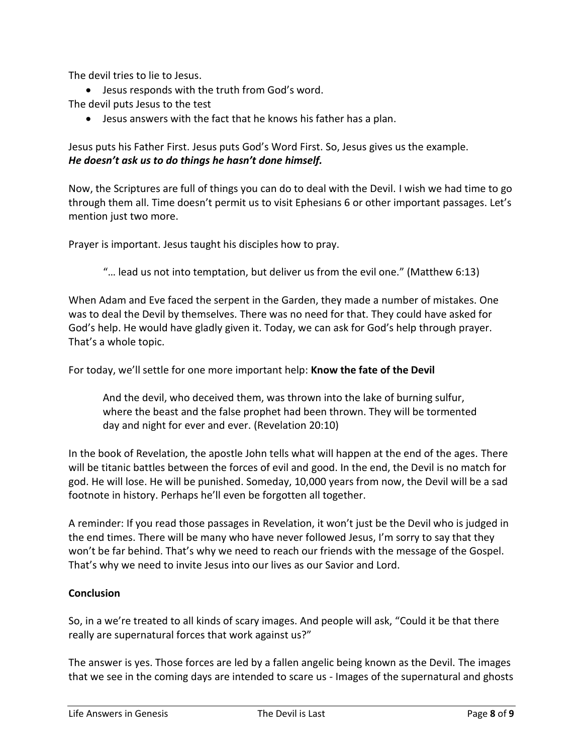The devil tries to lie to Jesus.

• Jesus responds with the truth from God's word.

The devil puts Jesus to the test

• Jesus answers with the fact that he knows his father has a plan.

Jesus puts his Father First. Jesus puts God's Word First. So, Jesus gives us the example. *He doesn't ask us to do things he hasn't done himself.*

Now, the Scriptures are full of things you can do to deal with the Devil. I wish we had time to go through them all. Time doesn't permit us to visit Ephesians 6 or other important passages. Let's mention just two more.

Prayer is important. Jesus taught his disciples how to pray.

"… lead us not into temptation, but deliver us from the evil one." (Matthew 6:13)

When Adam and Eve faced the serpent in the Garden, they made a number of mistakes. One was to deal the Devil by themselves. There was no need for that. They could have asked for God's help. He would have gladly given it. Today, we can ask for God's help through prayer. That's a whole topic.

For today, we'll settle for one more important help: **Know the fate of the Devil**

And the devil, who deceived them, was thrown into the lake of burning sulfur, where the beast and the false prophet had been thrown. They will be tormented day and night for ever and ever. (Revelation 20:10)

In the book of Revelation, the apostle John tells what will happen at the end of the ages. There will be titanic battles between the forces of evil and good. In the end, the Devil is no match for god. He will lose. He will be punished. Someday, 10,000 years from now, the Devil will be a sad footnote in history. Perhaps he'll even be forgotten all together.

A reminder: If you read those passages in Revelation, it won't just be the Devil who is judged in the end times. There will be many who have never followed Jesus, I'm sorry to say that they won't be far behind. That's why we need to reach our friends with the message of the Gospel. That's why we need to invite Jesus into our lives as our Savior and Lord.

### **Conclusion**

So, in a we're treated to all kinds of scary images. And people will ask, "Could it be that there really are supernatural forces that work against us?"

The answer is yes. Those forces are led by a fallen angelic being known as the Devil. The images that we see in the coming days are intended to scare us - Images of the supernatural and ghosts